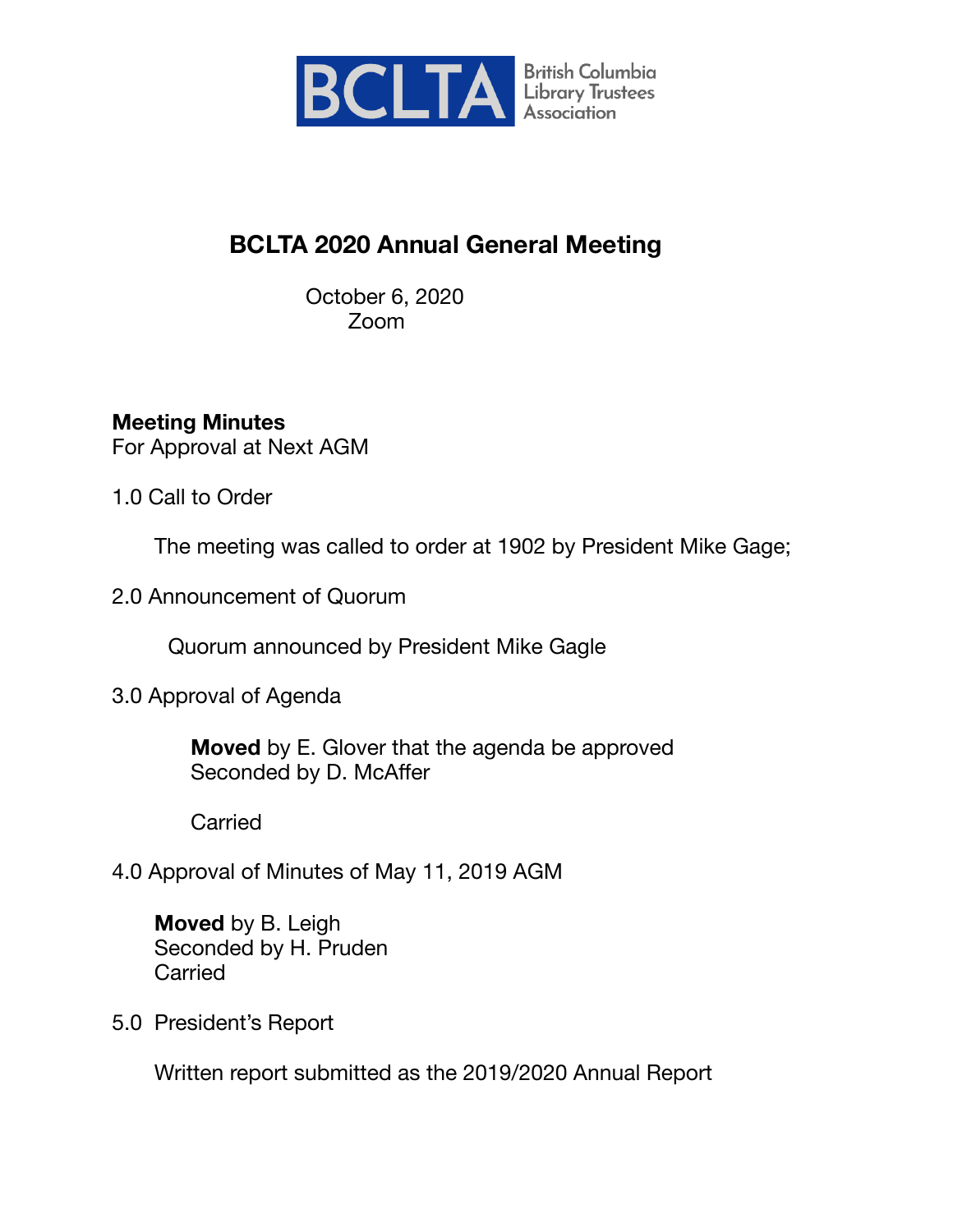

# **BCLTA 2020 Annual General Meeting**

 October 6, 2020 Zoom

## **Meeting Minutes**

For Approval at Next AGM

1.0 Call to Order

The meeting was called to order at 1902 by President Mike Gage;

2.0 Announcement of Quorum

Quorum announced by President Mike Gagle

3.0 Approval of Agenda

 **Moved** by E. Glover that the agenda be approved Seconded by D. McAffer

Carried

4.0 Approval of Minutes of May 11, 2019 AGM

 **Moved** by B. Leigh Seconded by H. Pruden **Carried** 

5.0 President's Report

Written report submitted as the 2019/2020 Annual Report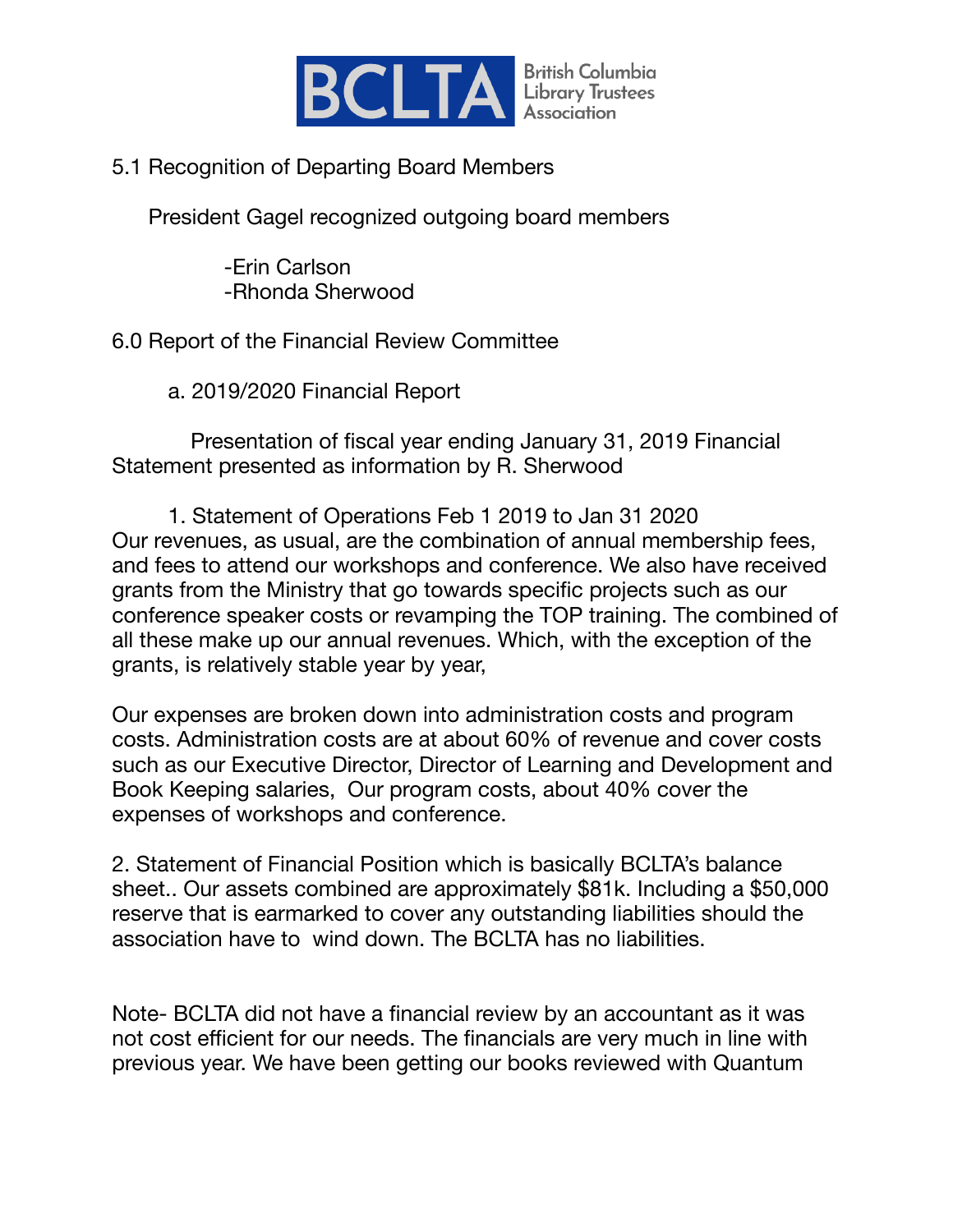

#### 5.1 Recognition of Departing Board Members

President Gagel recognized outgoing board members

 -Erin Carlson -Rhonda Sherwood

## 6.0 Report of the Financial Review Committee

a. 2019/2020 Financial Report

 Presentation of fiscal year ending January 31, 2019 Financial Statement presented as information by R. Sherwood

1. Statement of Operations Feb 1 2019 to Jan 31 2020 Our revenues, as usual, are the combination of annual membership fees, and fees to attend our workshops and conference. We also have received grants from the Ministry that go towards specific projects such as our conference speaker costs or revamping the TOP training. The combined of all these make up our annual revenues. Which, with the exception of the grants, is relatively stable year by year,

Our expenses are broken down into administration costs and program costs. Administration costs are at about 60% of revenue and cover costs such as our Executive Director, Director of Learning and Development and Book Keeping salaries, Our program costs, about 40% cover the expenses of workshops and conference.

2. Statement of Financial Position which is basically BCLTA's balance sheet.. Our assets combined are approximately \$81k. Including a \$50,000 reserve that is earmarked to cover any outstanding liabilities should the association have to wind down. The BCLTA has no liabilities.

Note- BCLTA did not have a financial review by an accountant as it was not cost efficient for our needs. The financials are very much in line with previous year. We have been getting our books reviewed with Quantum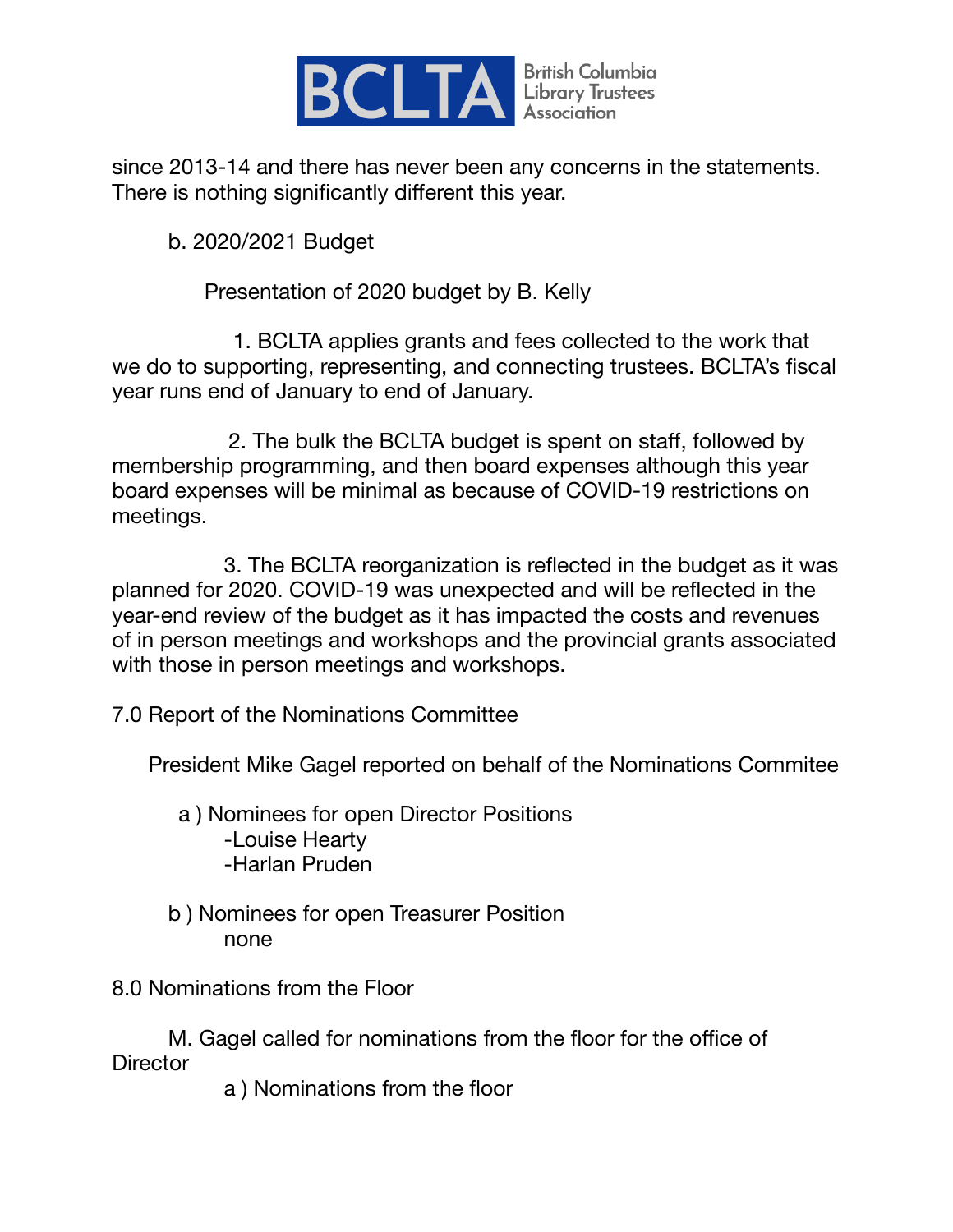

since 2013-14 and there has never been any concerns in the statements. There is nothing significantly different this year. 

b. 2020/2021 Budget

Presentation of 2020 budget by B. Kelly

 1. BCLTA applies grants and fees collected to the work that we do to supporting, representing, and connecting trustees. BCLTA's fiscal year runs end of January to end of January.

 2. The bulk the BCLTA budget is spent on staff, followed by membership programming, and then board expenses although this year board expenses will be minimal as because of COVID-19 restrictions on meetings.

 3. The BCLTA reorganization is reflected in the budget as it was planned for 2020. COVID-19 was unexpected and will be reflected in the year-end review of the budget as it has impacted the costs and revenues of in person meetings and workshops and the provincial grants associated with those in person meetings and workshops.

7.0 Report of the Nominations Committee

President Mike Gagel reported on behalf of the Nominations Commitee

 a ) Nominees for open Director Positions -Louise Hearty -Harlan Pruden

b ) Nominees for open Treasurer Position none

8.0 Nominations from the Floor

M. Gagel called for nominations from the floor for the office of **Director** 

 a ) Nominations from the floor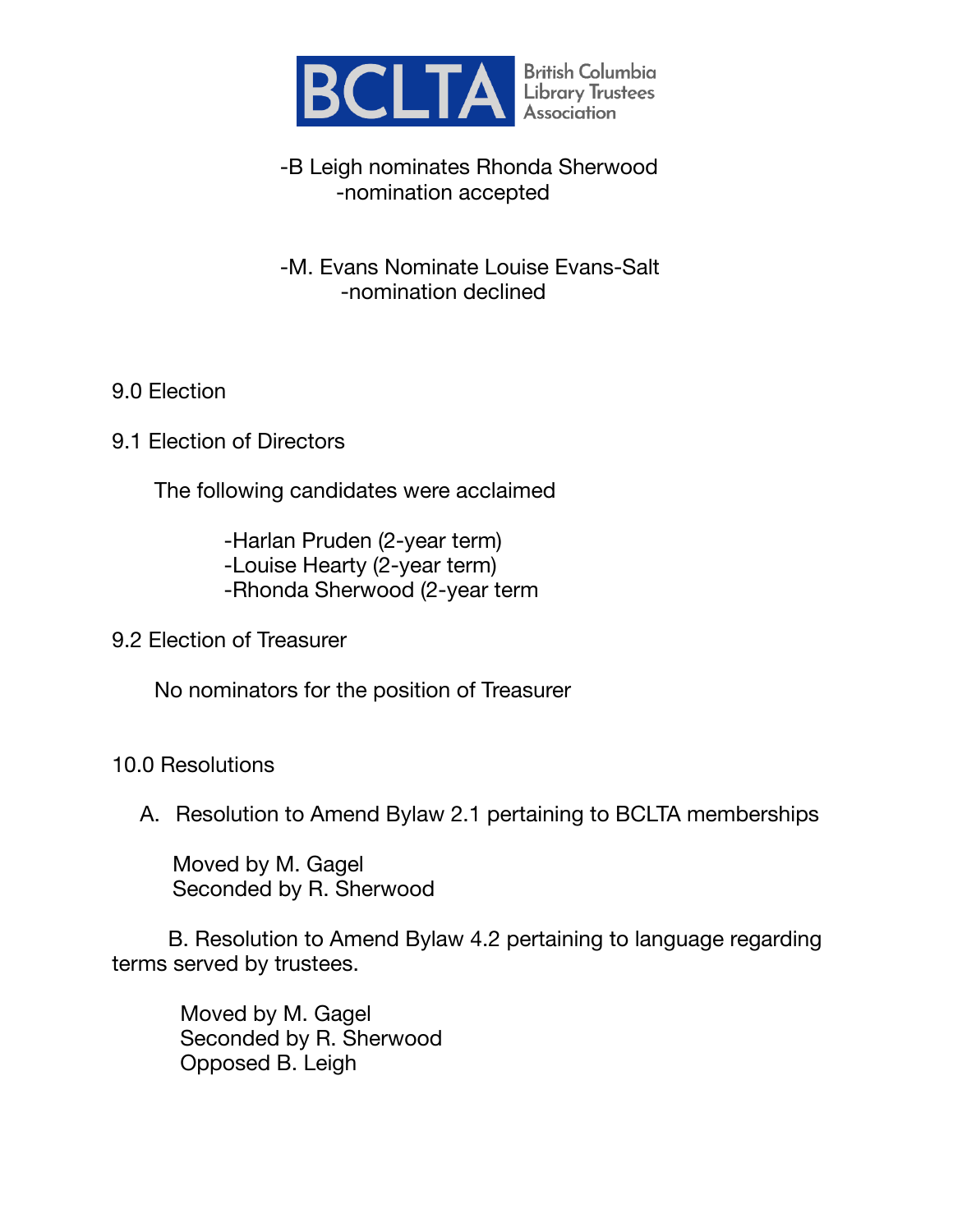

#### -B Leigh nominates Rhonda Sherwood -nomination accepted

 -M. Evans Nominate Louise Evans-Salt -nomination declined

#### 9.0 Election

9.1 Election of Directors

The following candidates were acclaimed

 -Harlan Pruden (2-year term) -Louise Hearty (2-year term) -Rhonda Sherwood (2-year term

9.2 Election of Treasurer

No nominators for the position of Treasurer

#### 10.0 Resolutions

A. Resolution to Amend Bylaw 2.1 pertaining to BCLTA memberships

 Moved by M. Gagel Seconded by R. Sherwood

B. Resolution to Amend Bylaw 4.2 pertaining to language regarding terms served by trustees.

 Moved by M. Gagel Seconded by R. Sherwood Opposed B. Leigh